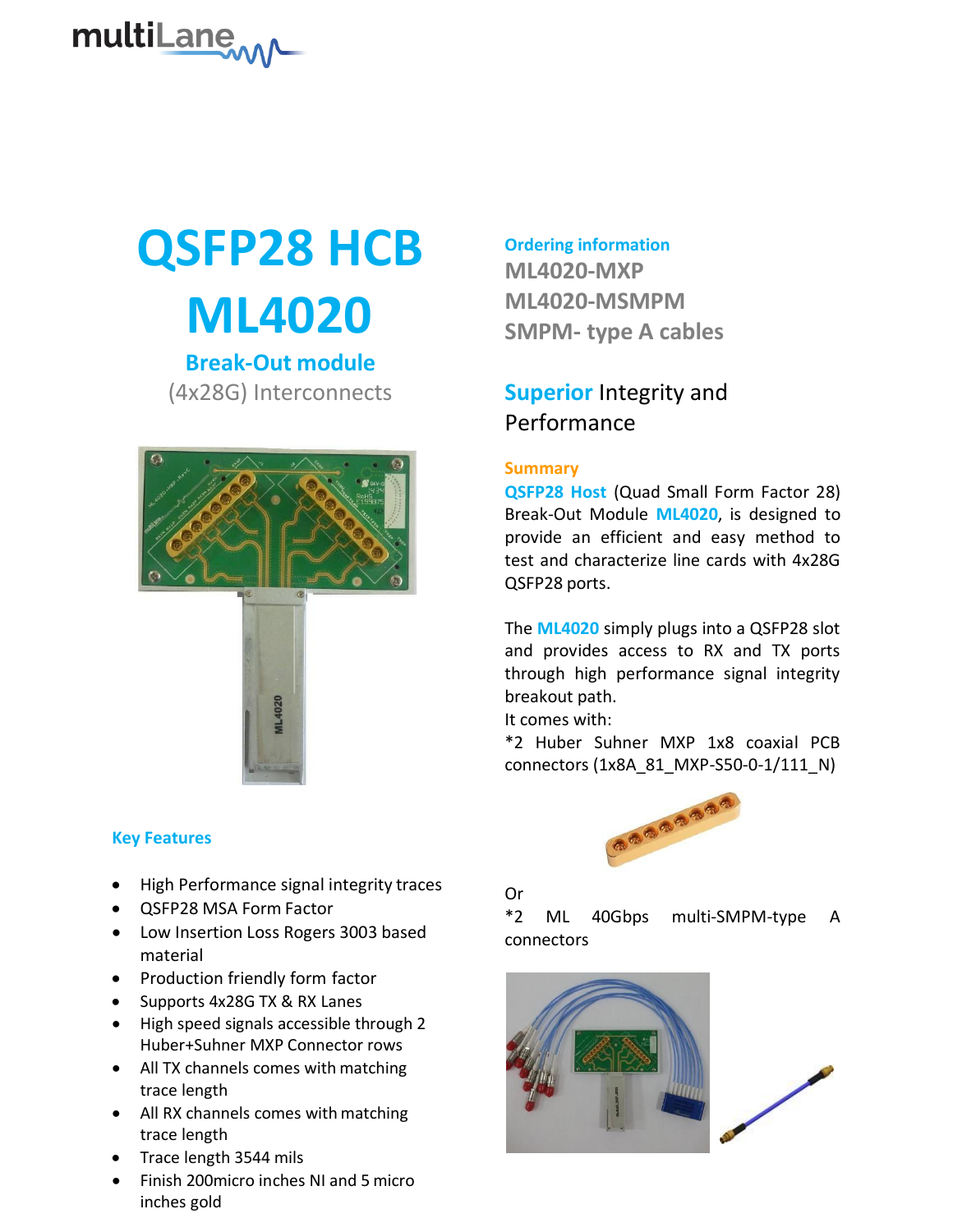

# **QSFP28 HCB ML4020**

**Break-Out module** (4x28G) Interconnects



#### **Key Features**

- High Performance signal integrity traces
- QSFP28 MSA Form Factor
- Low Insertion Loss Rogers 3003 based material
- Production friendly form factor
- Supports 4x28G TX & RX Lanes
- High speed signals accessible through 2 Huber+Suhner MXP Connector rows
- All TX channels comes with matching trace length
- All RX channels comes with matching trace length
- Trace length 3544 mils
- Finish 200micro inches NI and 5 micro inches gold

**Ordering information**

**ML4020-MXP ML4020-MSMPM SMPM- type A cables**

# **Superior** Integrity and Performance

### **Summary**

**QSFP28 Host** (Quad Small Form Factor 28) Break-Out Module **ML4020**, is designed to provide an efficient and easy method to test and characterize line cards with 4x28G QSFP28 ports.

The **ML4020** simply plugs into a QSFP28 slot and provides access to RX and TX ports through high performance signal integrity breakout path.

It comes with:

\*2 Huber Suhner MXP 1x8 coaxial PCB connectors (1x8A\_81\_MXP-S50-0-1/111\_N)



# Or

\*2 ML 40Gbps multi-SMPM-type A connectors

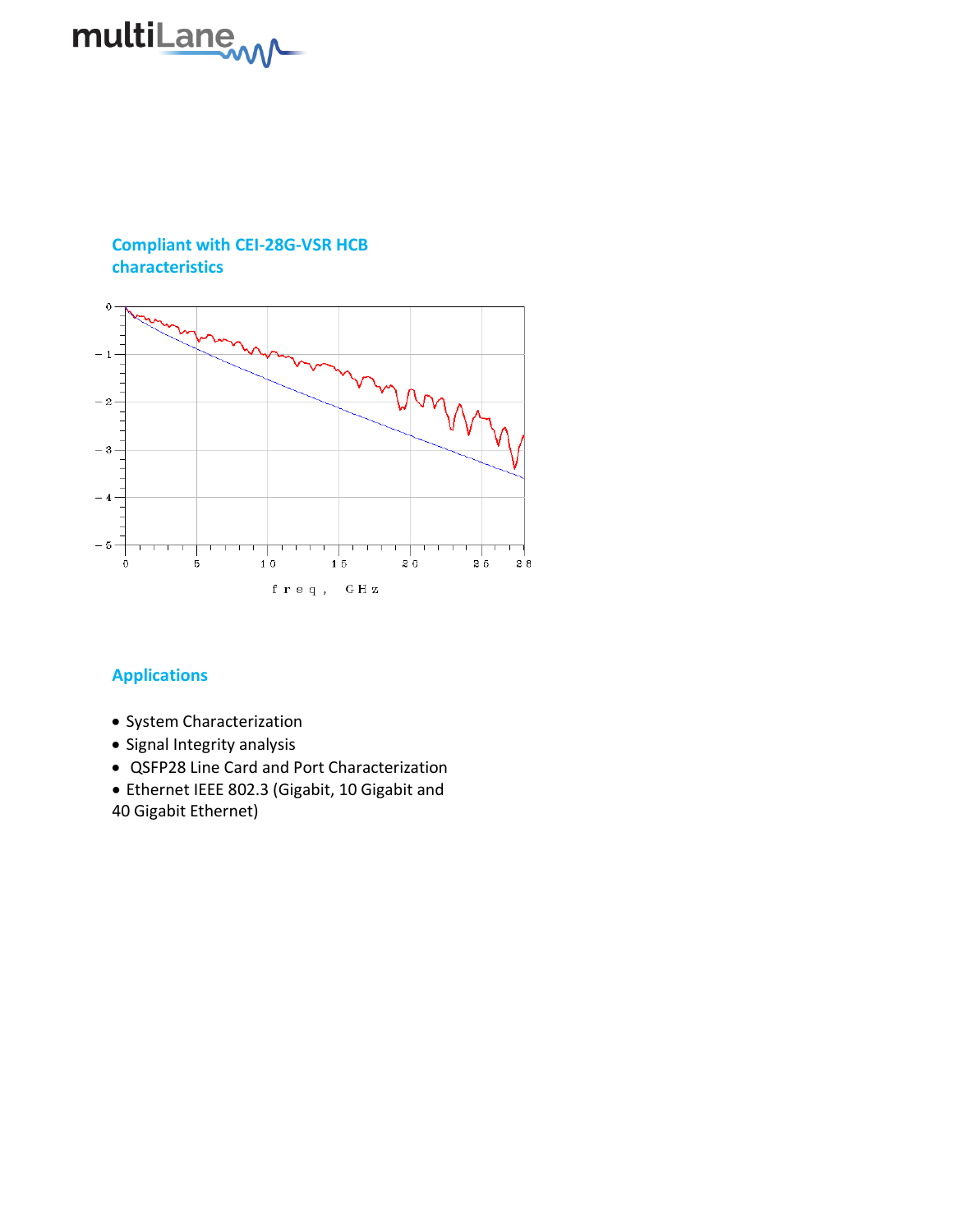

# **Compliant with CEI-28G-VSR HCB characteristics**



# **Applications**

- System Characterization
- Signal Integrity analysis
- QSFP28 Line Card and Port Characterization
- Ethernet IEEE 802.3 (Gigabit, 10 Gigabit and 40 Gigabit Ethernet)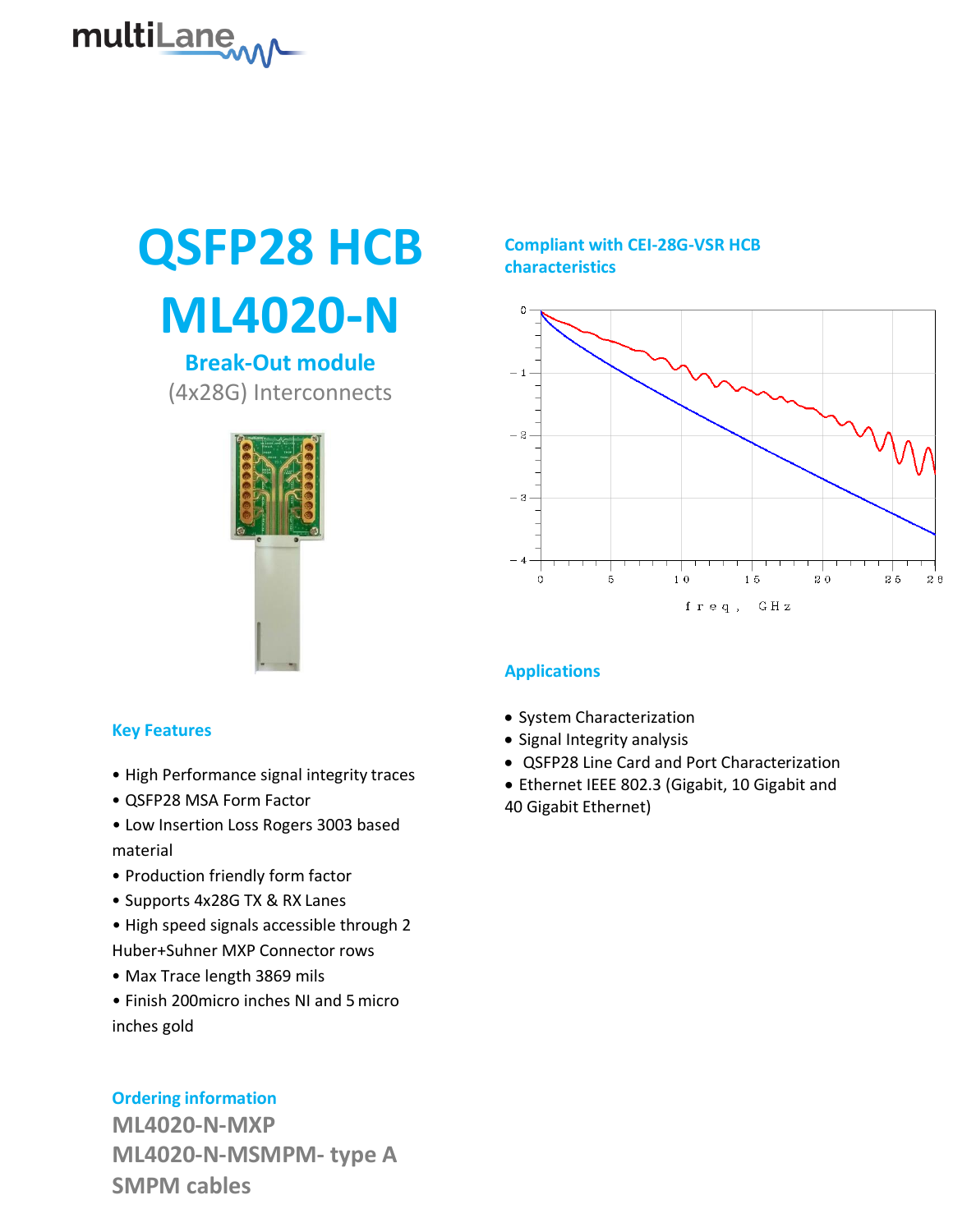

# **QSFP28 HCB ML4020-N**

**Break-Out module** (4x28G) Interconnects



#### **Key Features**

- High Performance signal integrity traces
- QSFP28 MSA Form Factor
- Low Insertion Loss Rogers 3003 based material
- Production friendly form factor
- Supports 4x28G TX & RX Lanes
- High speed signals accessible through 2 Huber+Suhner MXP Connector rows
- Max Trace length 3869 mils
- Finish 200micro inches NI and 5micro inches gold

# **Ordering information**

**ML4020-N-MXP ML4020-N-MSMPM- type A SMPM cables**

# **Compliant with CEI-28G-VSR HCB characteristics**



# **Applications**

- System Characterization
- Signal Integrity analysis
- QSFP28 Line Card and Port Characterization
- Ethernet IEEE 802.3 (Gigabit, 10 Gigabit and

40 Gigabit Ethernet)